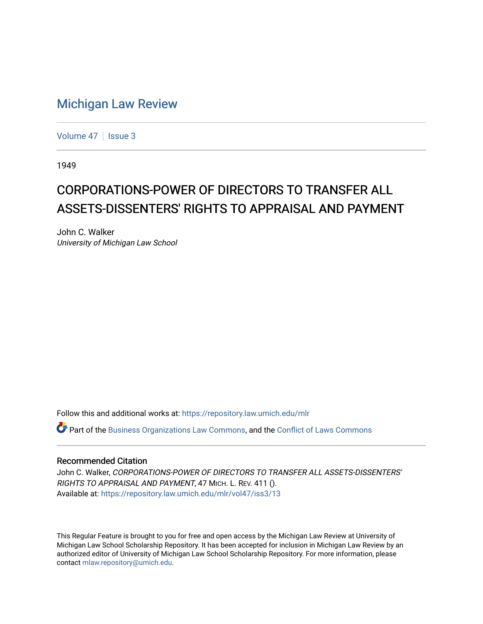## [Michigan Law Review](https://repository.law.umich.edu/mlr)

[Volume 47](https://repository.law.umich.edu/mlr/vol47) | [Issue 3](https://repository.law.umich.edu/mlr/vol47/iss3)

1949

## CORPORATIONS-POWER OF DIRECTORS TO TRANSFER ALL ASSETS-DISSENTERS' RIGHTS TO APPRAISAL AND PAYMENT

John C. Walker University of Michigan Law School

Follow this and additional works at: [https://repository.law.umich.edu/mlr](https://repository.law.umich.edu/mlr?utm_source=repository.law.umich.edu%2Fmlr%2Fvol47%2Fiss3%2F13&utm_medium=PDF&utm_campaign=PDFCoverPages) 

 $\bullet$  Part of the [Business Organizations Law Commons](http://network.bepress.com/hgg/discipline/900?utm_source=repository.law.umich.edu%2Fmlr%2Fvol47%2Fiss3%2F13&utm_medium=PDF&utm_campaign=PDFCoverPages), and the Conflict of Laws Commons

## Recommended Citation

John C. Walker, CORPORATIONS-POWER OF DIRECTORS TO TRANSFER ALL ASSETS-DISSENTERS' RIGHTS TO APPRAISAL AND PAYMENT, 47 MICH. L. REV. 411 (). Available at: [https://repository.law.umich.edu/mlr/vol47/iss3/13](https://repository.law.umich.edu/mlr/vol47/iss3/13?utm_source=repository.law.umich.edu%2Fmlr%2Fvol47%2Fiss3%2F13&utm_medium=PDF&utm_campaign=PDFCoverPages) 

This Regular Feature is brought to you for free and open access by the Michigan Law Review at University of Michigan Law School Scholarship Repository. It has been accepted for inclusion in Michigan Law Review by an authorized editor of University of Michigan Law School Scholarship Repository. For more information, please contact [mlaw.repository@umich.edu](mailto:mlaw.repository@umich.edu).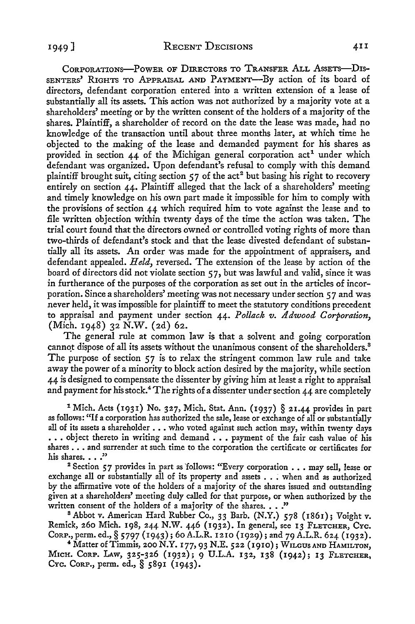CORPORATIONS-POWER OF DIRECTORS TO TRANSFER ALL ASSETS-DIS-SENTERS' RIGHTS TO APPRAISAL AND PAYMENT-By action of its board of directors, defendant corporation entered into a written extension of a lease of substantially all its assets. This action was not authorized by a majority vote at a shareholders' meeting or by the written consent of the holders of a majority of the shares. Plaintiff, a shareholder of record on the date the lease was made, had po knowledge of the transaction until about three months later, at which time he objected to the making of the lease and demanded payment for his shares as provided in section  $44$  of the Michigan general corporation  $act<sup>1</sup>$  under which defendant was organized. Upon defendant's refusal to comply with this demand plaintiff brought suit, citing section  $57$  of the act<sup>2</sup> but basing his right to recovery entirely on section 44. Plaintiff alleged that the lack of a shareholders' meeting and timely knowledge on his own part made it impossible for him to comply with the provisions of section 44 which required him to vote against the lease and to file written objection within twenty days of the time the action was taken. The trial court found that the directors owned or controlled voting rights of more than two-thirds of defendant's stock and that the lease divested defendant of substantially all its assets. An order was made for the appointment of appraisers, and defendant appealed. *Held,* reversed. The extension of the lease by action of the board of directors did not violate section *5* 7, but was lawful and valid, since it was in furtherance of the purposes of the corporation as set out in the articles of incorporation. Since a shareholders' meeting was not necessary under section *5* 7 and was never held, it was impossible for plaintiff to meet the statutory conditions precedent to appraisal and payment under section 44. *Pollack v. Adwood Corporation,*  (Mich. 1948) 32 **N.W.** (2d) 62.

The general rule at common law is that a solvent and going corporation cannot dispose of all its assets without the unanimous consent of the shareholders.<sup>8</sup> The purpose of section 57 is to relax the stringent common law rule and take away the power of a minority to block action desired by the majority, while section 44 is designed to compensate the dissenter by giving him at least a right to appraisal and payment for his stock.<sup>4</sup> The rights of a dissenter under section  $44$  are completely

<sup>1</sup> Mich. Acts (1931) No. 327, Mich. Stat. Ann. (1937) § 21.44 provides in part as follows: "If a corporation has authorized the sale, lease or exchange of all or substantially all of its assets a shareholder  $\ldots$  who voted against such action may, within twenty days ... object thereto in writing and demand ... payment of the fair cash value of his shares .•• and surrender at such time *to* the corporation the certificate or certificates for his shares. . . . "

<sup>2</sup> Section 57 provides in part as follows: "Every corporation . . . may sell, lease or exchange all or substantially all of its property and assets . . . when and as authorized by the affirmative vote of the holders of a majority of the shares issued and outstanding given at a shareholders' meeting duly called for that purpose, or when authorized by the written consent of the holders of a majority of the shares.  $\ldots$ ."

<sup>8</sup> Abbot v. American Hard Rubber Co., 33 Barb. (N.Y.) 578 (1861); Voight v. Remick, 260 Mich. 198, 244 N.W. 446 (1932). In general, see 13 FLETCHER, Cyc.<br>Cor.P, perm. ed., § 5797 (1943); 60 A.L.R. 1210 (1929); and 79 A.L.R. 624 (1932).

<sup>4</sup> Matter of Timmis, 200 N.Y. 177, 93 N.E. 522 (1910); WILGUS AND HAMILTON, MicH. CoRP, LAw, 325-326 (1932); 9 U.L.A. 132, 138 (1942); 13 FLETCHER, CYc. CoRP., perm. ed., § 5891 (1943).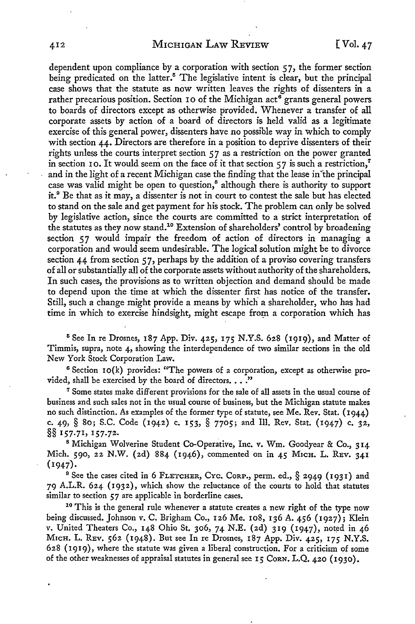dependent upon compliance by a corporation with section  $57$ , the former section being predicated on the latter.<sup>5</sup> The legislative intent is clear, but the principal case shows that the statute as now written leaves the rights of dissenters in a rather precarious position. Section 10 of the Michigan act<sup>6</sup> grants general powers to boards of directors except as otherwise provided. Whenever a transfer of all corporate assets by action of a board of directors is held valid as a legitimate exercise of this general power, dissenters have no possible way in which to comply with section 44. Directors are therefore in a position to deprive dissenters of their rights unless the courts interpret section 57 as a restriction on the power granted in section 10. It would seem on the face of it that section  $57$  is such a restriction,<sup>7</sup> and in the light of a recent Michigan case the finding that the lease in 'the principal case was valid might be open to question,<sup>8</sup> although there is authority to support it.<sup>9</sup> Be that as it may, a dissenter is not in court to contest the sale but has elected to stand on the sale and get payment for his stock. The problem can only be solved by legislative action, since the courts are committed to a strict interpretation of the statutes as they now stand.10 Extension of shareholders' control by broadening section 57 would impair the freedom of action of directors in managing a corporation and would seem undesirable. The logical solution might be to divorce section 44 from section  $57$ , perhaps by the addition of a proviso covering transfers of all or substantially all of the corporate assets without authority of the shareholders. In such cases, the provisions as to written objection and demand should be made to depend upon the time at which the dissenter first has notice of the transfer. Still, such a change might provide a means by which a shareholder, who has had time in which to exercise hindsight, might escape from a corporation which has

<sup>5</sup> See In re Drosnes, 187 App. Div. 425, 175 N.Y.S. 628 (1919), and Matter of Timmis, supra, note 4, showing the interdependence of two similar sections in the old New York Stock Corporation Law.

6 Section IO(k) provides: "The powers of a corporation, except as otherwise provided, shall be exercised by the board of directors. . . ."

<sup>7</sup> Some states make different provisions for the sale of all assets in the usual course of business and such sales not in the usual course of business, but the Michigan statute makes no such distinction. As examples of the former type of statute, see Me. Rev. Stat. (1944) c. 49, § 80; S.C. Code (1942) c. 153, § 7705; and Ill. Rev. Stat. (1947) c. 32, §§ 157.71, 157.72.

<sup>8</sup> Michigan Wolverine Student Co-Operative, Inc. v. Wm. Goodyear & Co., 314 Mich. 590, 22 N.W. (2d) 884 (1946), commented on in 45 M1cH. L. REv. 341  $(1947).$ 

<sup>9</sup> See the cases cited in 6 FLETCHER, CYC. CORP., perm. ed., § 2949 (1931) and 79 A.L.R. 624 (1932), which show the reluctance of the courts to hold that statutes similar to section 57 are applicable in borderline cases.<br><sup>10</sup> This is the general rule whenever a statute creates a new right of the type now

being discussed. Johnson *v.* C. Brigham Co., 126 Me. 108, 136 A. 456 (1927); Klein v. United Theaters Co., 148 Ohio St. 306, 74 N.E. (2d) 319 (1947), noted in 46 M1cH. L. REv. 562 (1948). But see In re Drosnes, 187 App. Div. 425, 175 N.Y.S. 628 (1919), where the statute was given a liberal construction. For a criticism of some of the other weaknesses of appraisal statutes in general see 15 CoRN. L.Q. 420 (1930).